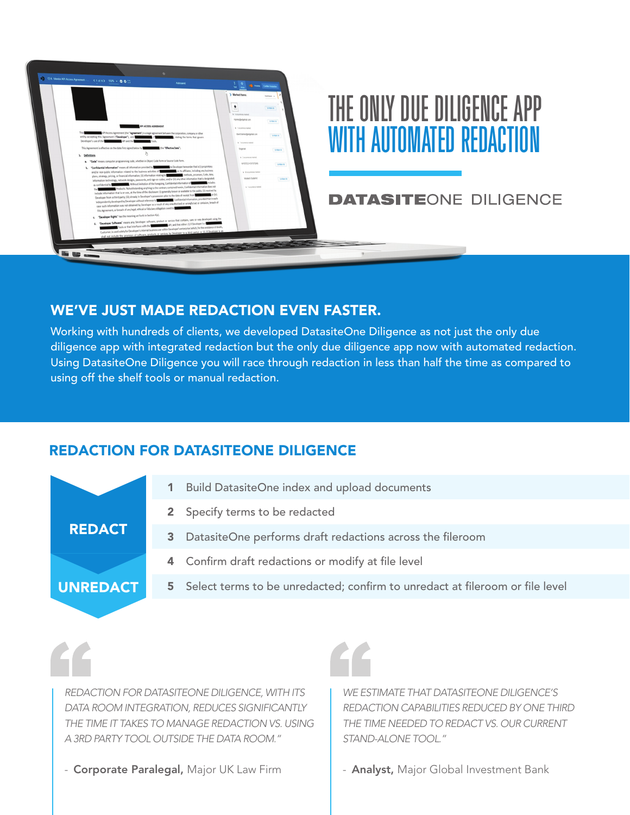

## WE'VE JUST MADE REDACTION EVEN FASTER.

Working with hundreds of clients, we developed DatasiteOne Diligence as not just the only due diligence app with integrated redaction but the only due diligence app now with automated redaction. Using DatasiteOne Diligence you will race through redaction in less than half the time as compared to using off the shelf tools or manual redaction.

## REDACTION FOR DATASITEONE DILIGENCE

|                 | <b>Build DatasiteOne index and upload documents</b>                            |
|-----------------|--------------------------------------------------------------------------------|
|                 | 2 Specify terms to be redacted                                                 |
| <b>REDACT</b>   | DatasiteOne performs draft redactions across the fileroom<br>3                 |
|                 | 4 Confirm draft redactions or modify at file level                             |
| <b>UNREDACT</b> | 5 Select terms to be unredacted; confirm to unredact at fileroom or file level |
|                 |                                                                                |

*REDACTION FOR DATASITEONE DILIGENCE, WITH ITS DATA ROOM INTEGRATION, REDUCES SIGNIFICANTLY THE TIME IT TAKES TO MANAGE REDACTION VS. USING A 3RD PARTY TOOL OUTSIDE THE DATA ROOM."*

- Corporate Paralegal, Major UK Law Firm



*WE ESTIMATE THAT DATASITEONE DILIGENCE'S REDACTION CAPABILITIES REDUCED BY ONE THIRD THE TIME NEEDED TO REDACT VS. OUR CURRENT STAND-ALONE TOOL."*

- **Analyst, Major Global Investment Bank**